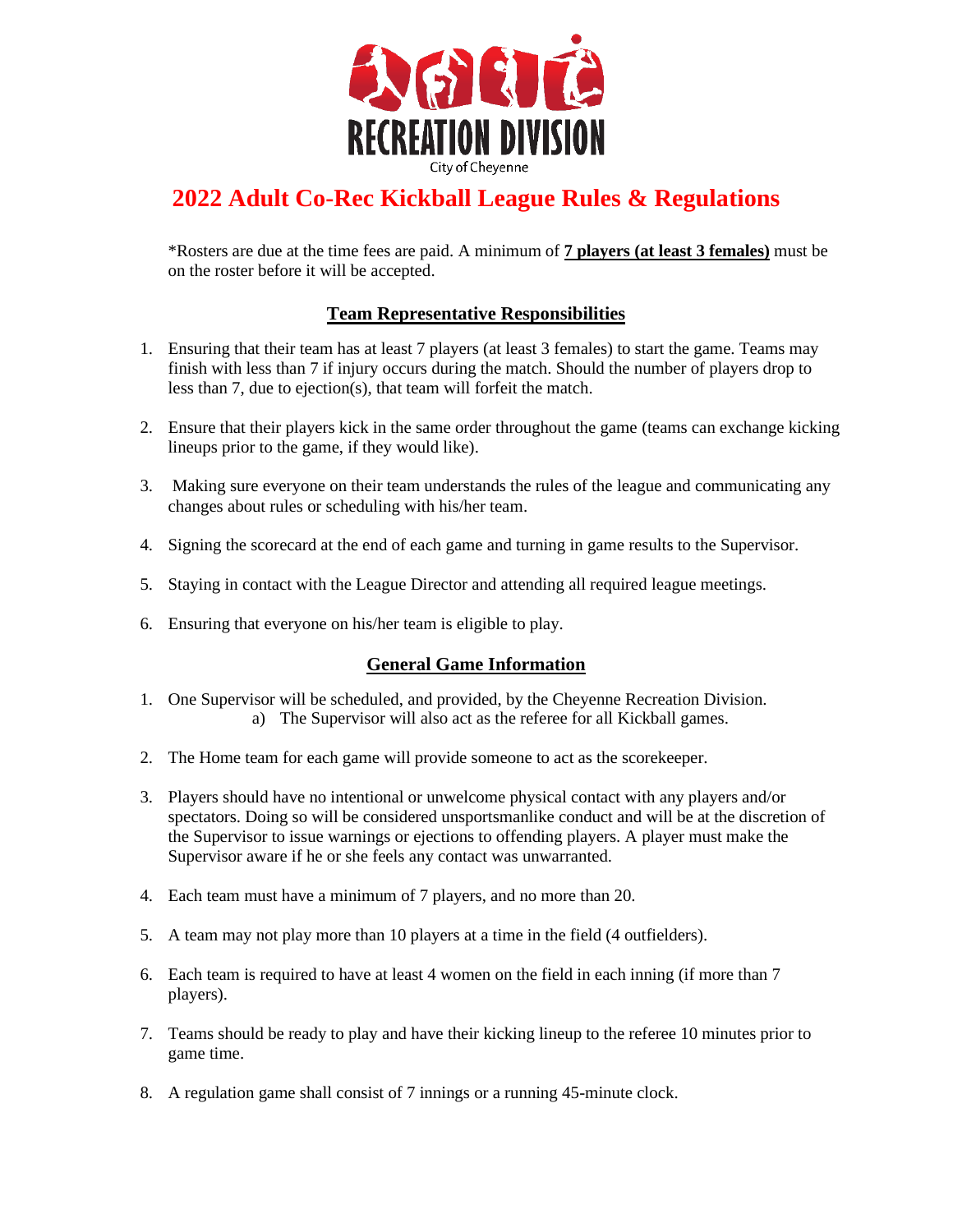

# **2022 Adult Co-Rec Kickball League Rules & Regulations**

\*Rosters are due at the time fees are paid. A minimum of **7 players (at least 3 females)** must be on the roster before it will be accepted.

## **Team Representative Responsibilities**

- 1. Ensuring that their team has at least 7 players (at least 3 females) to start the game. Teams may finish with less than 7 if injury occurs during the match. Should the number of players drop to less than 7, due to ejection(s), that team will forfeit the match.
- 2. Ensure that their players kick in the same order throughout the game (teams can exchange kicking lineups prior to the game, if they would like).
- 3. Making sure everyone on their team understands the rules of the league and communicating any changes about rules or scheduling with his/her team.
- 4. Signing the scorecard at the end of each game and turning in game results to the Supervisor.
- 5. Staying in contact with the League Director and attending all required league meetings.
- 6. Ensuring that everyone on his/her team is eligible to play.

#### **General Game Information**

- 1. One Supervisor will be scheduled, and provided, by the Cheyenne Recreation Division. a) The Supervisor will also act as the referee for all Kickball games.
- 2. The Home team for each game will provide someone to act as the scorekeeper.
- 3. Players should have no intentional or unwelcome physical contact with any players and/or spectators. Doing so will be considered unsportsmanlike conduct and will be at the discretion of the Supervisor to issue warnings or ejections to offending players. A player must make the Supervisor aware if he or she feels any contact was unwarranted.
- 4. Each team must have a minimum of 7 players, and no more than 20.
- 5. A team may not play more than 10 players at a time in the field (4 outfielders).
- 6. Each team is required to have at least 4 women on the field in each inning (if more than 7 players).
- 7. Teams should be ready to play and have their kicking lineup to the referee 10 minutes prior to game time.
- 8. A regulation game shall consist of 7 innings or a running 45-minute clock.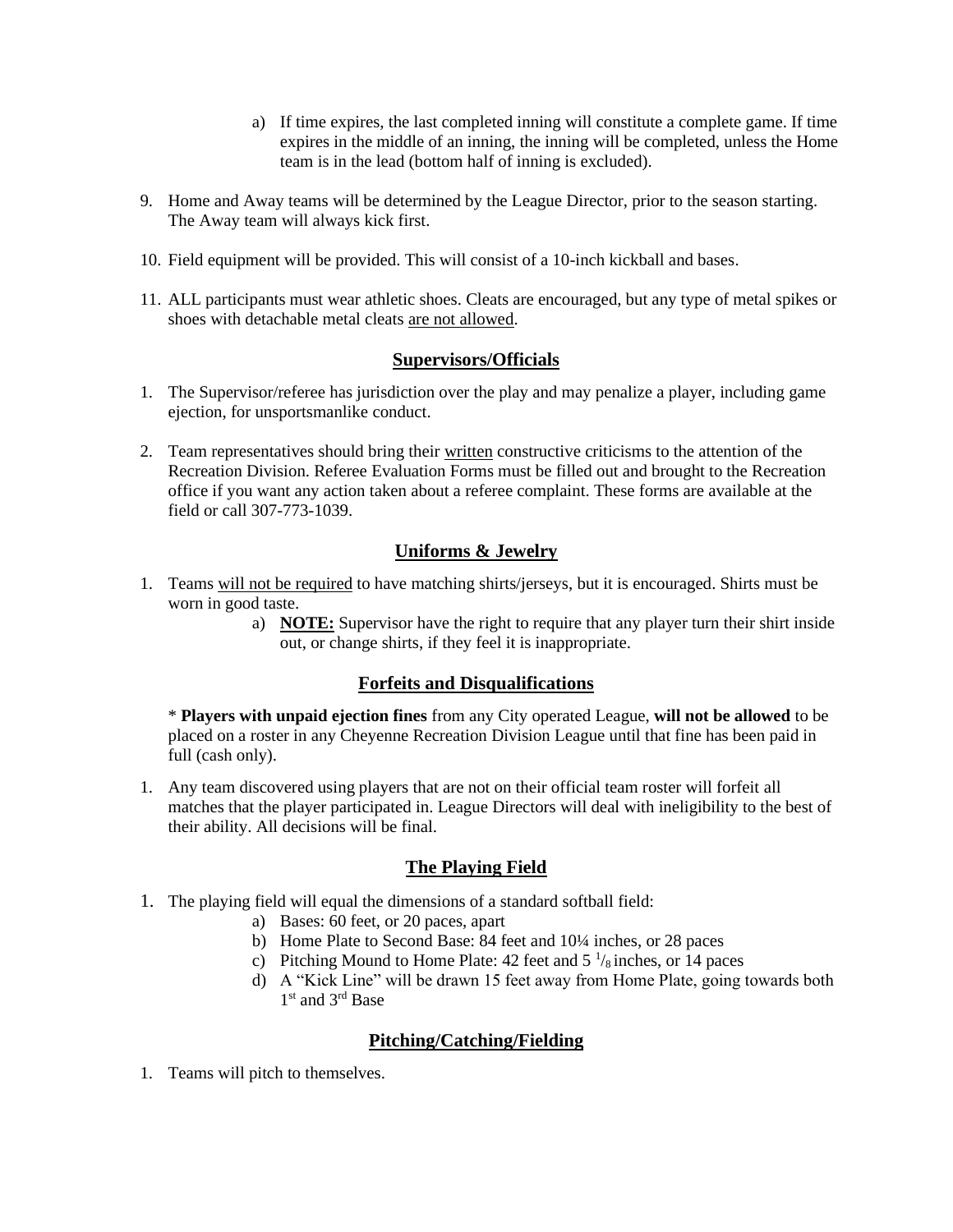- a) If time expires, the last completed inning will constitute a complete game. If time expires in the middle of an inning, the inning will be completed, unless the Home team is in the lead (bottom half of inning is excluded).
- 9. Home and Away teams will be determined by the League Director, prior to the season starting. The Away team will always kick first.
- 10. Field equipment will be provided. This will consist of a 10-inch kickball and bases.
- 11. ALL participants must wear athletic shoes. Cleats are encouraged, but any type of metal spikes or shoes with detachable metal cleats are not allowed.

#### **Supervisors/Officials**

- 1. The Supervisor/referee has jurisdiction over the play and may penalize a player, including game ejection, for unsportsmanlike conduct.
- 2. Team representatives should bring their written constructive criticisms to the attention of the Recreation Division. Referee Evaluation Forms must be filled out and brought to the Recreation office if you want any action taken about a referee complaint. These forms are available at the field or call 307-773-1039.

### **Uniforms & Jewelry**

- 1. Teams will not be required to have matching shirts/jerseys, but it is encouraged. Shirts must be worn in good taste.
	- a) **NOTE:** Supervisor have the right to require that any player turn their shirt inside out, or change shirts, if they feel it is inappropriate.

#### **Forfeits and Disqualifications**

\* **Players with unpaid ejection fines** from any City operated League, **will not be allowed** to be placed on a roster in any Cheyenne Recreation Division League until that fine has been paid in full (cash only).

1. Any team discovered using players that are not on their official team roster will forfeit all matches that the player participated in. League Directors will deal with ineligibility to the best of their ability. All decisions will be final.

#### **The Playing Field**

- 1. The playing field will equal the dimensions of a standard softball field:
	- a) Bases: 60 feet, or 20 paces, apart
	- b) Home Plate to Second Base: 84 feet and 10¼ inches, or 28 paces
	- c) Pitching Mound to Home Plate: 42 feet and  $5\frac{1}{8}$  inches, or 14 paces
	- d) A "Kick Line" will be drawn 15 feet away from Home Plate, going towards both 1<sup>st</sup> and 3<sup>rd</sup> Base

#### **Pitching/Catching/Fielding**

1. Teams will pitch to themselves.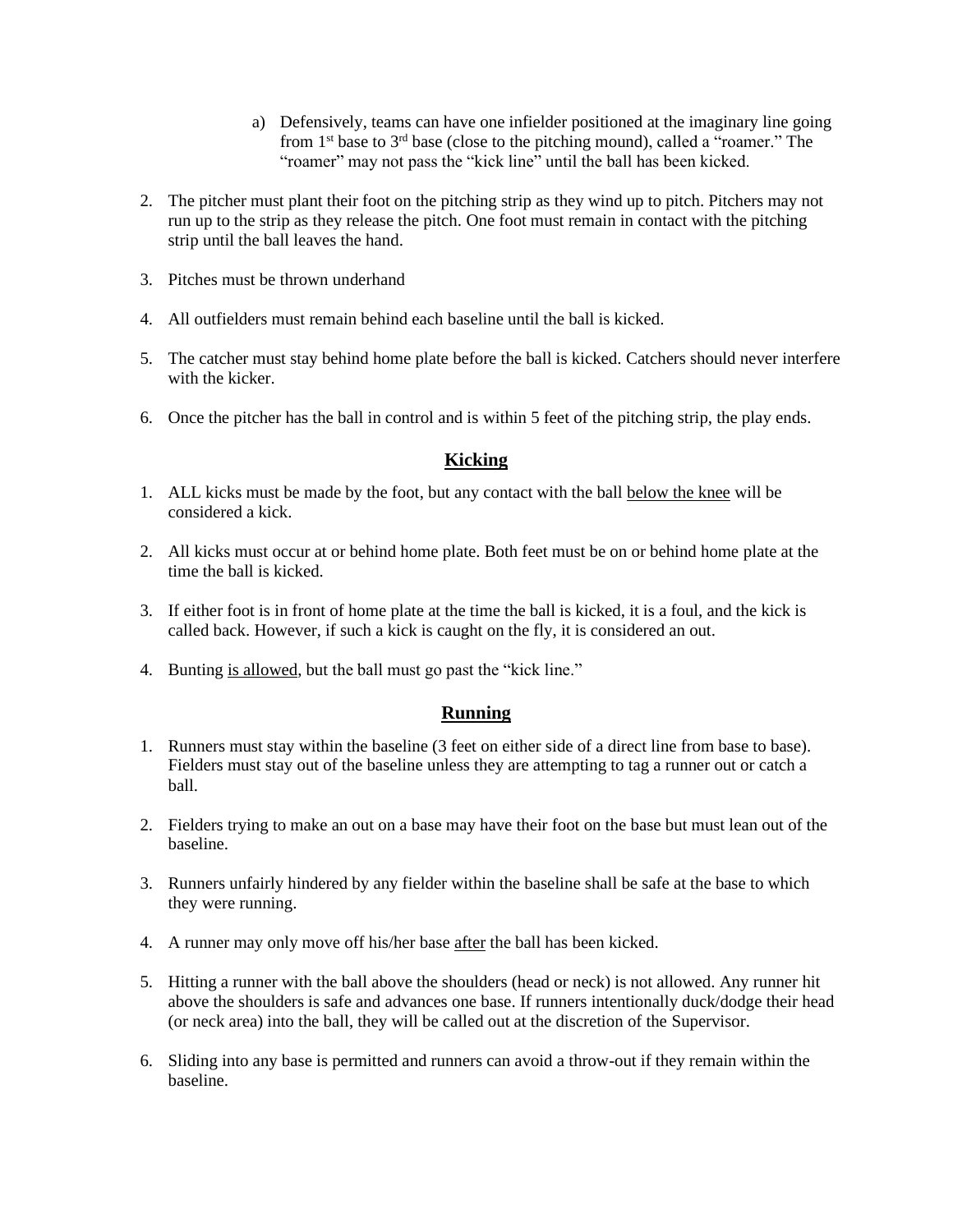- a) Defensively, teams can have one infielder positioned at the imaginary line going from  $1<sup>st</sup>$  base to  $3<sup>rd</sup>$  base (close to the pitching mound), called a "roamer." The "roamer" may not pass the "kick line" until the ball has been kicked.
- 2. The pitcher must plant their foot on the pitching strip as they wind up to pitch. Pitchers may not run up to the strip as they release the pitch. One foot must remain in contact with the pitching strip until the ball leaves the hand.
- 3. Pitches must be thrown underhand
- 4. All outfielders must remain behind each baseline until the ball is kicked.
- 5. The catcher must stay behind home plate before the ball is kicked. Catchers should never interfere with the kicker.
- 6. Once the pitcher has the ball in control and is within 5 feet of the pitching strip, the play ends.

## **Kicking**

- 1. ALL kicks must be made by the foot, but any contact with the ball below the knee will be considered a kick.
- 2. All kicks must occur at or behind home plate. Both feet must be on or behind home plate at the time the ball is kicked.
- 3. If either foot is in front of home plate at the time the ball is kicked, it is a foul, and the kick is called back. However, if such a kick is caught on the fly, it is considered an out.
- 4. Bunting is allowed, but the ball must go past the "kick line."

#### **Running**

- 1. Runners must stay within the baseline (3 feet on either side of a direct line from base to base). Fielders must stay out of the baseline unless they are attempting to tag a runner out or catch a ball.
- 2. Fielders trying to make an out on a base may have their foot on the base but must lean out of the baseline.
- 3. Runners unfairly hindered by any fielder within the baseline shall be safe at the base to which they were running.
- 4. A runner may only move off his/her base after the ball has been kicked.
- 5. Hitting a runner with the ball above the shoulders (head or neck) is not allowed. Any runner hit above the shoulders is safe and advances one base. If runners intentionally duck/dodge their head (or neck area) into the ball, they will be called out at the discretion of the Supervisor.
- 6. Sliding into any base is permitted and runners can avoid a throw-out if they remain within the baseline.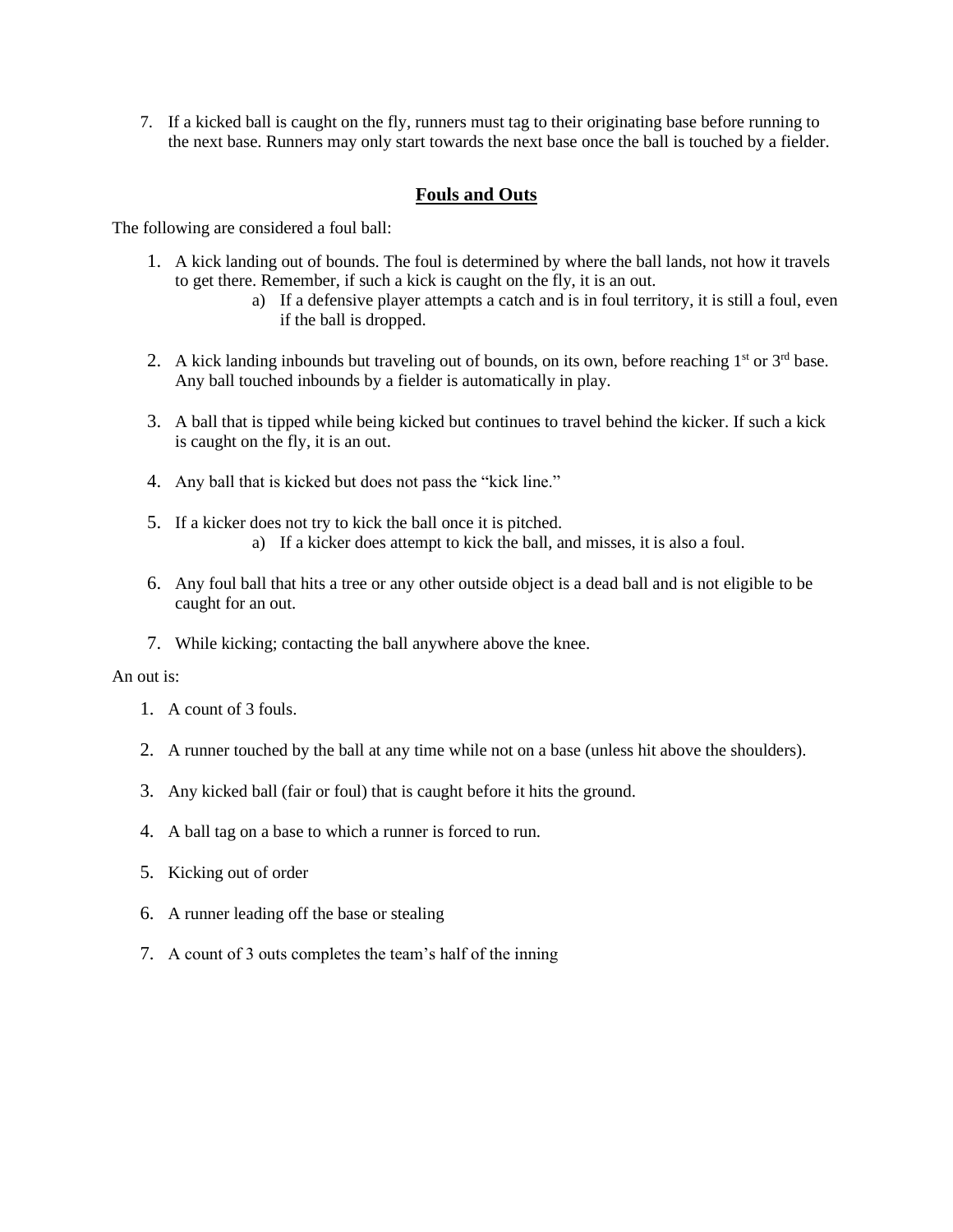7. If a kicked ball is caught on the fly, runners must tag to their originating base before running to the next base. Runners may only start towards the next base once the ball is touched by a fielder.

#### **Fouls and Outs**

The following are considered a foul ball:

- 1. A kick landing out of bounds. The foul is determined by where the ball lands, not how it travels to get there. Remember, if such a kick is caught on the fly, it is an out.
	- a) If a defensive player attempts a catch and is in foul territory, it is still a foul, even if the ball is dropped.
- 2. A kick landing inbounds but traveling out of bounds, on its own, before reaching  $1<sup>st</sup>$  or  $3<sup>rd</sup>$  base. Any ball touched inbounds by a fielder is automatically in play.
- 3. A ball that is tipped while being kicked but continues to travel behind the kicker. If such a kick is caught on the fly, it is an out.
- 4. Any ball that is kicked but does not pass the "kick line."
- 5. If a kicker does not try to kick the ball once it is pitched. a) If a kicker does attempt to kick the ball, and misses, it is also a foul.
- 6. Any foul ball that hits a tree or any other outside object is a dead ball and is not eligible to be caught for an out.
- 7. While kicking; contacting the ball anywhere above the knee.

#### An out is:

- 1. A count of 3 fouls.
- 2. A runner touched by the ball at any time while not on a base (unless hit above the shoulders).
- 3. Any kicked ball (fair or foul) that is caught before it hits the ground.
- 4. A ball tag on a base to which a runner is forced to run.
- 5. Kicking out of order
- 6. A runner leading off the base or stealing
- 7. A count of 3 outs completes the team's half of the inning